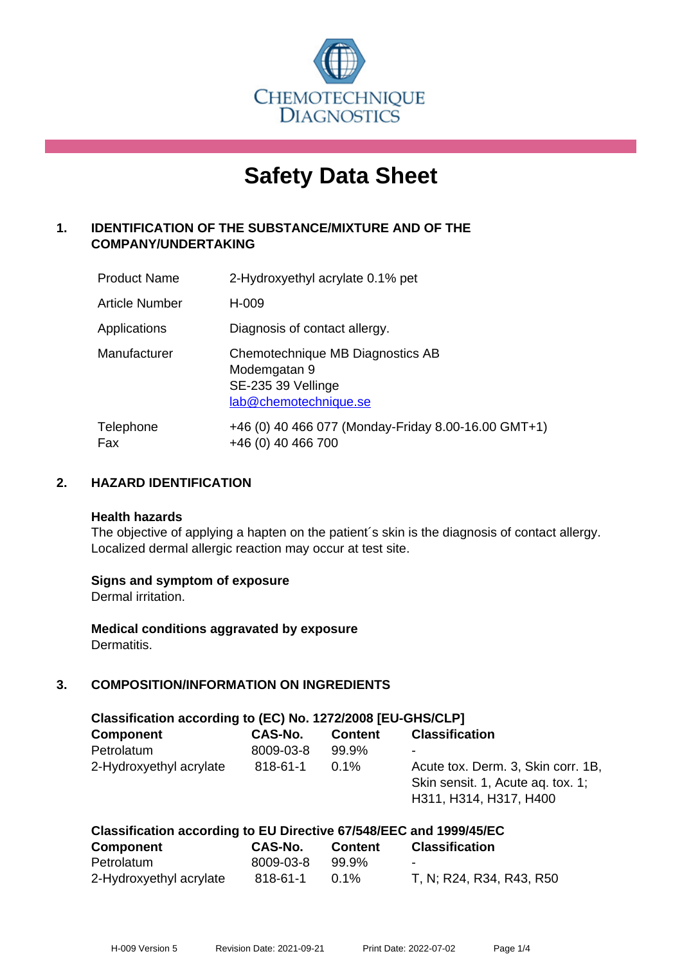

# **Safety Data Sheet**

# **1. IDENTIFICATION OF THE SUBSTANCE/MIXTURE AND OF THE COMPANY/UNDERTAKING**

| <b>Product Name</b>   | 2-Hydroxyethyl acrylate 0.1% pet                                                                |
|-----------------------|-------------------------------------------------------------------------------------------------|
| <b>Article Number</b> | H-009                                                                                           |
| Applications          | Diagnosis of contact allergy.                                                                   |
| Manufacturer          | Chemotechnique MB Diagnostics AB<br>Modemgatan 9<br>SE-235 39 Vellinge<br>lab@chemotechnique.se |
| Telephone<br>Fax      | +46 (0) 40 466 077 (Monday-Friday 8.00-16.00 GMT+1)<br>+46 (0) 40 466 700                       |

## **2. HAZARD IDENTIFICATION**

#### **Health hazards**

The objective of applying a hapten on the patient's skin is the diagnosis of contact allergy. Localized dermal allergic reaction may occur at test site.

## **Signs and symptom of exposure**

Dermal irritation.

**Medical conditions aggravated by exposure** Dermatitis.

# **3. COMPOSITION/INFORMATION ON INGREDIENTS**

| Classification according to (EC) No. 1272/2008 [EU-GHS/CLP] |           |                |                                                                                                   |  |  |
|-------------------------------------------------------------|-----------|----------------|---------------------------------------------------------------------------------------------------|--|--|
| <b>Component</b>                                            | CAS-No.   | <b>Content</b> | <b>Classification</b>                                                                             |  |  |
| Petrolatum                                                  | 8009-03-8 | 99.9%          | -                                                                                                 |  |  |
| 2-Hydroxyethyl acrylate                                     | 818-61-1  | $0.1\%$        | Acute tox. Derm. 3, Skin corr. 1B,<br>Skin sensit. 1, Acute ag. tox. 1;<br>H311, H314, H317, H400 |  |  |

| Classification according to EU Directive 67/548/EEC and 1999/45/EC |           |         |                          |  |  |
|--------------------------------------------------------------------|-----------|---------|--------------------------|--|--|
| <b>Component</b>                                                   | CAS-No.   | Content | <b>Classification</b>    |  |  |
| Petrolatum                                                         | 8009-03-8 | 99.9%   | $\overline{\phantom{0}}$ |  |  |
| 2-Hydroxyethyl acrylate                                            | 818-61-1  | $0.1\%$ | T, N; R24, R34, R43, R50 |  |  |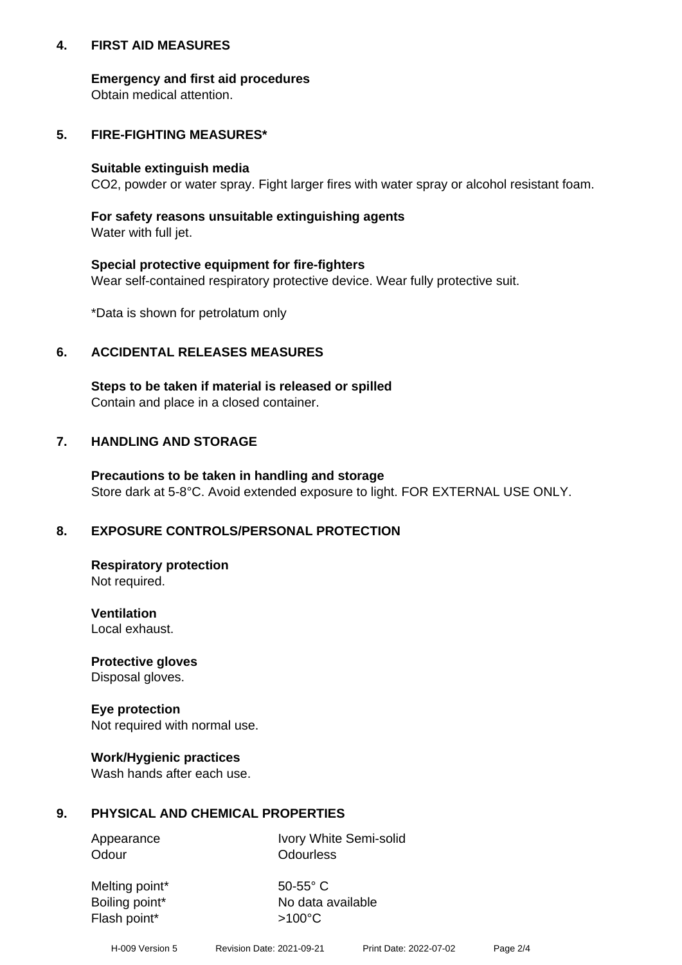## **4. FIRST AID MEASURES**

## **Emergency and first aid procedures**

Obtain medical attention.

# **5. FIRE-FIGHTING MEASURES\***

#### **Suitable extinguish media**

CO2, powder or water spray. Fight larger fires with water spray or alcohol resistant foam.

# **For safety reasons unsuitable extinguishing agents**

Water with full jet.

## **Special protective equipment for fire-fighters**

Wear self-contained respiratory protective device. Wear fully protective suit.

\*Data is shown for petrolatum only

## **6. ACCIDENTAL RELEASES MEASURES**

**Steps to be taken if material is released or spilled** Contain and place in a closed container.

# **7. HANDLING AND STORAGE**

**Precautions to be taken in handling and storage** Store dark at 5-8°C. Avoid extended exposure to light. FOR EXTERNAL USE ONLY.

# **8. EXPOSURE CONTROLS/PERSONAL PROTECTION**

**Respiratory protection** Not required.

**Ventilation** Local exhaust.

**Protective gloves** Disposal gloves.

#### **Eye protection** Not required with normal use.

## **Work/Hygienic practices**

Wash hands after each use.

## **9. PHYSICAL AND CHEMICAL PROPERTIES**

Odour **Odourless** 

Appearance Ivory White Semi-solid

Melting point\* 50-55° C Flash point\*  $>100^{\circ}$ C

Boiling point\* No data available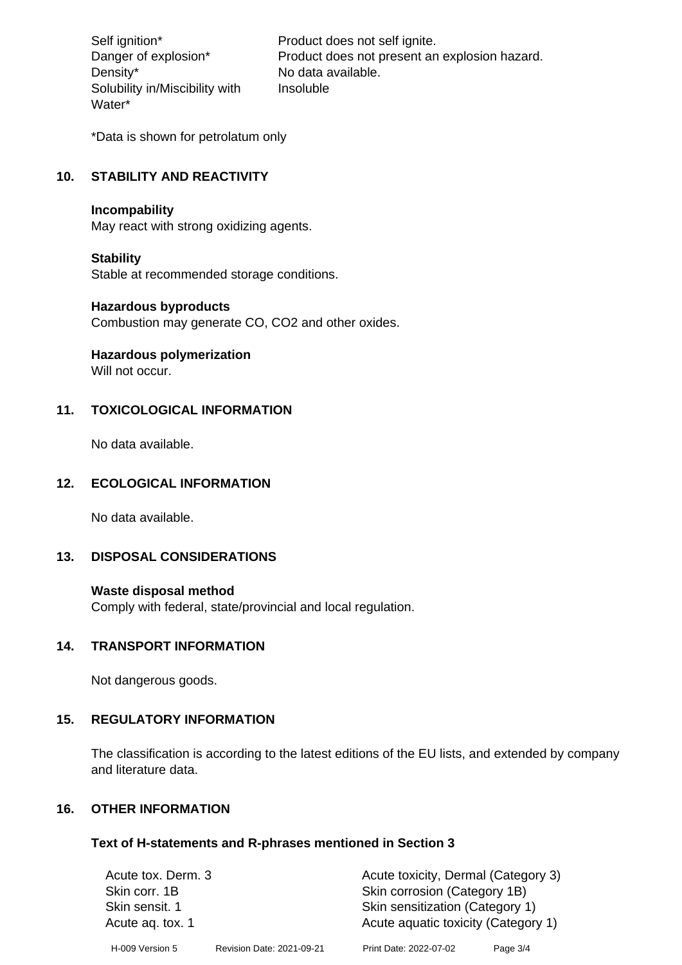Density\* No data available. Solubility in/Miscibility with Water\*

Self ignition\* Product does not self ignite. Danger of explosion\* Product does not present an explosion hazard. Insoluble

\*Data is shown for petrolatum only

# **10. STABILITY AND REACTIVITY**

#### **Incompability**

May react with strong oxidizing agents.

#### **Stability**

Stable at recommended storage conditions.

#### **Hazardous byproducts**

Combustion may generate CO, CO2 and other oxides.

**Hazardous polymerization**

Will not occur.

## **11. TOXICOLOGICAL INFORMATION**

No data available.

## **12. ECOLOGICAL INFORMATION**

No data available.

## **13. DISPOSAL CONSIDERATIONS**

#### **Waste disposal method**

Comply with federal, state/provincial and local regulation.

#### **14. TRANSPORT INFORMATION**

Not dangerous goods.

## **15. REGULATORY INFORMATION**

The classification is according to the latest editions of the EU lists, and extended by company and literature data.

## **16. OTHER INFORMATION**

#### **Text of H-statements and R-phrases mentioned in Section 3**

| Acute tox. Derm. 3 |                           | Acute toxicity, Dermal (Category 3) |          |  |
|--------------------|---------------------------|-------------------------------------|----------|--|
| Skin corr. 1B      |                           | Skin corrosion (Category 1B)        |          |  |
| Skin sensit. 1     |                           | Skin sensitization (Category 1)     |          |  |
| Acute ag. tox. 1   |                           | Acute aquatic toxicity (Category 1) |          |  |
| H-009 Version 5    | Revision Date: 2021-09-21 | Print Date: 2022-07-02              | Page 3/4 |  |